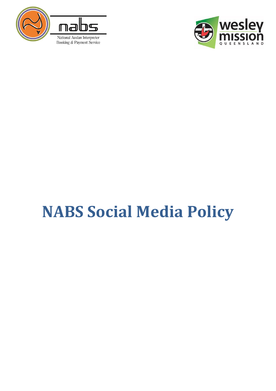



# <span id="page-0-0"></span>**NABS Social Media Policy**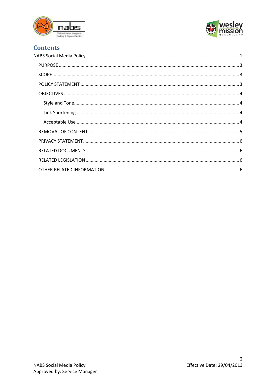



## **Contents**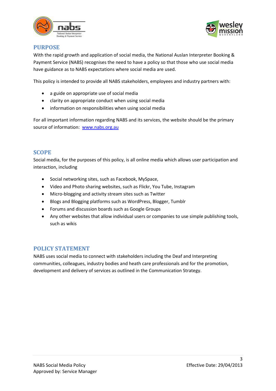



## <span id="page-2-0"></span>**PURPOSE**

With the rapid growth and application of social media, the National Auslan Interpreter Booking & Payment Service (NABS) recognises the need to have a policy so that those who use social media have guidance as to NABS expectations where social media are used.

This policy is intended to provide all NABS stakeholders, employees and industry partners with:

- a guide on appropriate use of social media
- clarity on appropriate conduct when using social media
- information on responsibilities when using social media

For all important information regarding NABS and its services, the website should be the primary source of information: [www.nabs.org.au](http://www.nabs.org.au/)

## <span id="page-2-1"></span>**SCOPE**

Social media, for the purposes of this policy, is all online media which allows user participation and interaction, including

- Social networking sites, such as Facebook, MySpace,
- Video and Photo sharing websites, such as Flickr, You Tube, Instagram
- Micro-blogging and activity stream sites such as Twitter
- Blogs and Blogging platforms such as WordPress, Blogger, Tumblr
- Forums and discussion boards such as Google Groups
- Any other websites that allow individual users or companies to use simple publishing tools, such as wikis

## <span id="page-2-2"></span>**POLICY STATEMENT**

NABS uses social media to connect with stakeholders including the Deaf and Interpreting communities, colleagues, industry bodies and heath care professionals and for the promotion, development and delivery of services as outlined in the Communication Strategy.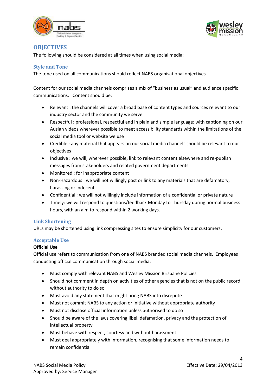



## <span id="page-3-0"></span>**OBJECTIVES**

The following should be considered at all times when using social media:

## <span id="page-3-1"></span>**Style and Tone**

The tone used on all communications should reflect NABS organisational objectives.

Content for our social media channels comprises a mix of "business as usual" and audience specific communications. Content should be:

- Relevant : the channels will cover a broad base of content types and sources relevant to our industry sector and the community we serve.
- Respectful : professional, respectful and in plain and simple language; with captioning on our Auslan videos wherever possible to meet accessibility standards within the limitations of the social media tool or website we use
- Credible : any material that appears on our social media channels should be relevant to our objectives
- Inclusive : we will, wherever possible, link to relevant content elsewhere and re-publish messages from stakeholders and related government departments
- Monitored : for inappropriate content
- Non-Hazardous : we will not willingly post or link to any materials that are defamatory, harassing or indecent
- Confidential : we will not willingly include information of a confidential or private nature
- Timely: we will respond to questions/feedback Monday to Thursday during normal business hours, with an aim to respond within 2 working days.

#### <span id="page-3-2"></span>**Link Shortening**

URLs may be shortened using link compressing sites to ensure simplicity for our customers.

#### <span id="page-3-3"></span>**Acceptable Use**

#### **Official Use**

Official use refers to communication from one of NABS branded social media channels. Employees conducting official communication through social media:

- Must comply with relevant NABS and Wesley Mission Brisbane Policies
- Should not comment in depth on activities of other agencies that is not on the public record without authority to do so
- Must avoid any statement that might bring NABS into disrepute
- Must not commit NABS to any action or initiative without appropriate authority
- Must not disclose official information unless authorised to do so
- Should be aware of the laws covering libel, defamation, privacy and the protection of intellectual property
- Must behave with respect, courtesy and without harassment
- Must deal appropriately with information, recognising that some information needs to remain confidential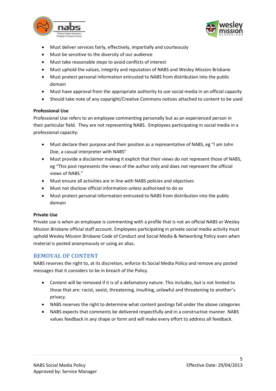



- Must deliver services fairly, effectively, impartially and courteously
- Must be sensitive to the diversity of our audience
- Must take reasonable steps to avoid conflicts of interest
- Must uphold the values, integrity and reputation of NABS and Wesley Mission Brisbane
- Must protect personal information entrusted to NABS from distribution into the public domain
- Must have approval from the appropriate authority to use social media in an official capacity
- Should take note of any copyright/Creative Commons notices attached to content to be used

#### **Professional Use**

Professional Use refers to an employee commenting personally but as an experienced person in their particular field. They are not representing NABS. Employees participating in social media in a professional capacity:

- Must declare their purpose and their position as a representative of NABS, eg "I am John Doe, a casual interpreter with NABS"
- Must provide a disclaimer making it explicit that their views do not represent those of NABS, eg "This post represents the views of the author only and does not represent the official views of NABS."
- Must ensure all activities are in line with NABS policies and objectives
- Must not disclose official information unless authorised to do so
- Must protect personal information entrusted to NABS from distribution into the public domain

#### **Private Use**

Private use is when an employee is commenting with a profile that is not an official NABS or Wesley Mission Brisbane official staff account. Employees participating in private social media activity must uphold Wesley Mission Brisbane Code of Conduct and Social Media & Networking Policy even when material is posted anonymously or using an alias.

## <span id="page-4-0"></span>**REMOVAL OF CONTENT**

NABS reserves the right to, at its discretion, enforce its Social Media Policy and remove any posted messages that it considers to be in breach of the Policy.

- Content will be removed if it is of a defamatory nature. This includes, but is not limited to those that are: racist, sexist, threatening, insulting, unlawful and threatening to another's privacy.
- NABS reserves the right to determine what content postings fall under the above categories
- NABS expects that comments be delivered respectfully and in a constructive manner. NABS values feedback in any shape or form and will make every effort to address all feedback.